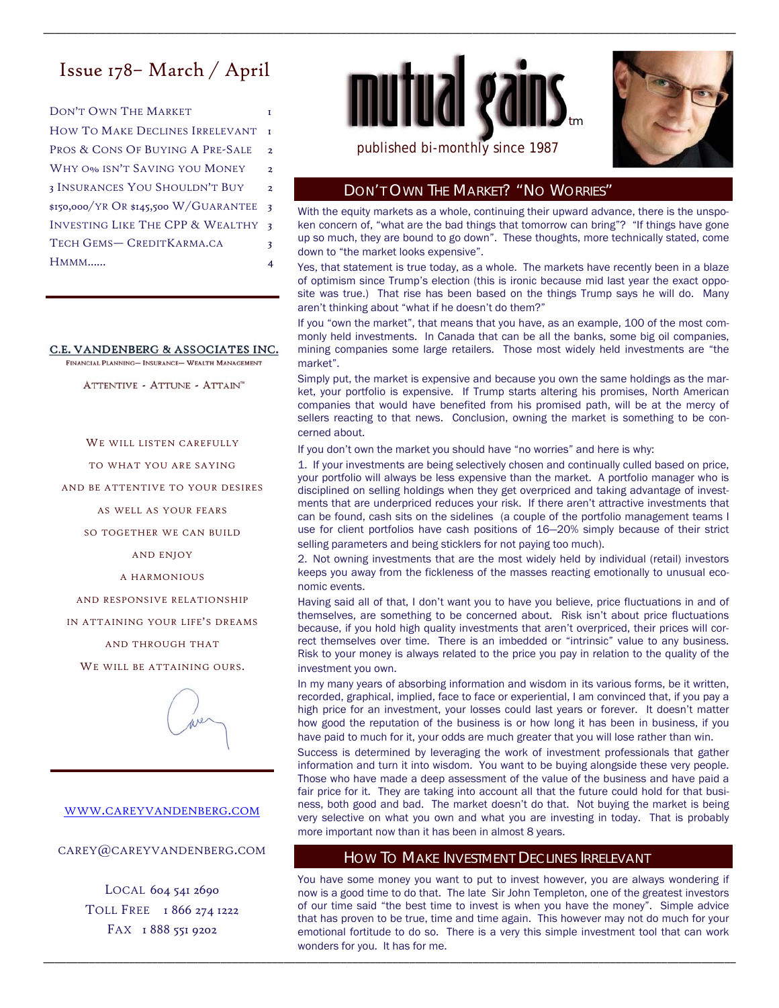# Issue 178– March / April

DON'T OWN THE MARKET HOW TO MAKE DECLINES IRRELEVANT PROS & CONS OF BUYING A PRE-SALE 2 WHY O<sub>%</sub> ISN'T SAVING YOU MONEY 2 3 INSURANCES YOU SHOULDN'T BUY 2 \$150,000/YR OR \$145,500 W/GUARANTEE 3 TECH GEMS-CREDITKARMA.CA 3 HMMM…… 4 INVESTING LIKE THE CPP & WEALTHY 3

#### C.E. VANDENBERG & ASSOCIATES INC.

FINANCIAL PLANNING- INSURANCE- WEALTH MANAGEMENT

ATTENTIVE - ATTUNE - ATTAIN"

WE WILL LISTEN CAREFULLY

TO WHAT YOU ARE SAYING

AND BE ATTENTIVE TO YOUR DESIRES

AS WELL AS YOUR FEARS

SO TOGETHER WE CAN BUILD

AND ENJOY

A HARMONIOUS

AND RESPONSIVE RELATIONSHIP

IN ATTAINING YOUR LIFE'S DREAMS

AND THROUGH THAT

WE WILL BE ATTAINING OURS.



#### WWW.CAREYVANDENBERG.COM

CAREY@CAREYVANDENBERG.COM

LOCAL 604 541 2690 TOLL FREE 1866 274 1222 FAX 1 888 551 9202



\_\_\_\_\_\_\_\_\_\_\_\_\_\_\_\_\_\_\_\_\_\_\_\_\_\_\_\_\_\_\_\_\_\_\_\_\_\_\_\_\_\_\_\_\_\_\_\_\_\_\_\_\_\_\_\_\_\_\_\_\_\_\_\_\_\_\_\_\_\_\_\_\_\_\_\_\_\_\_\_\_\_\_\_\_\_\_\_\_\_\_\_\_\_\_\_\_\_\_\_\_\_\_\_\_\_\_\_\_\_\_\_\_\_\_\_\_\_\_\_\_



# DON'T OWN THE MARKET? "NO WORRIES"

With the equity markets as a whole, continuing their upward advance, there is the unspoken concern of, "what are the bad things that tomorrow can bring"? "If things have gone up so much, they are bound to go down". These thoughts, more technically stated, come down to "the market looks expensive".

Yes, that statement is true today, as a whole. The markets have recently been in a blaze of optimism since Trump's election (this is ironic because mid last year the exact opposite was true.) That rise has been based on the things Trump says he will do. Many aren't thinking about "what if he doesn't do them?"

If you "own the market", that means that you have, as an example, 100 of the most commonly held investments. In Canada that can be all the banks, some big oil companies, mining companies some large retailers. Those most widely held investments are "the market".

Simply put, the market is expensive and because you own the same holdings as the market, your portfolio is expensive. If Trump starts altering his promises, North American companies that would have benefited from his promised path, will be at the mercy of sellers reacting to that news. Conclusion, owning the market is something to be concerned about.

If you don't own the market you should have "no worries" and here is why:

1. If your investments are being selectively chosen and continually culled based on price, your portfolio will always be less expensive than the market. A portfolio manager who is disciplined on selling holdings when they get overpriced and taking advantage of investments that are underpriced reduces your risk. If there aren't attractive investments that can be found, cash sits on the sidelines (a couple of the portfolio management teams I use for client portfolios have cash positions of 16—20% simply because of their strict selling parameters and being sticklers for not paying too much).

2. Not owning investments that are the most widely held by individual (retail) investors keeps you away from the fickleness of the masses reacting emotionally to unusual economic events.

Having said all of that, I don't want you to have you believe, price fluctuations in and of themselves, are something to be concerned about. Risk isn't about price fluctuations because, if you hold high quality investments that aren't overpriced, their prices will correct themselves over time. There is an imbedded or "intrinsic" value to any business. Risk to your money is always related to the price you pay in relation to the quality of the investment you own.

In my many years of absorbing information and wisdom in its various forms, be it written, recorded, graphical, implied, face to face or experiential, I am convinced that, if you pay a high price for an investment, your losses could last years or forever. It doesn't matter how good the reputation of the business is or how long it has been in business, if you have paid to much for it, your odds are much greater that you will lose rather than win.

Success is determined by leveraging the work of investment professionals that gather information and turn it into wisdom. You want to be buying alongside these very people. Those who have made a deep assessment of the value of the business and have paid a fair price for it. They are taking into account all that the future could hold for that business, both good and bad. The market doesn't do that. Not buying the market is being very selective on what you own and what you are investing in today. That is probably more important now than it has been in almost 8 years.

#### HOW TO MAKE INVESTMENT DECLINES IRRELEVANT

\_\_\_\_\_\_\_\_\_\_\_\_\_\_\_\_\_\_\_\_\_\_\_\_\_\_\_\_\_\_\_\_\_\_\_\_\_\_\_\_\_\_\_\_\_\_\_\_\_\_\_\_\_\_\_\_\_\_\_\_\_\_\_\_\_\_\_\_\_\_\_\_\_\_\_\_\_\_\_\_\_\_\_\_\_\_\_\_\_\_\_\_\_\_\_\_\_\_\_\_\_\_\_\_\_\_\_\_\_\_\_\_\_\_\_\_\_\_\_\_\_

You have some money you want to put to invest however, you are always wondering if now is a good time to do that. The late Sir John Templeton, one of the greatest investors of our time said "the best time to invest is when you have the money". Simple advice that has proven to be true, time and time again. This however may not do much for your emotional fortitude to do so. There is a very this simple investment tool that can work wonders for you. It has for me.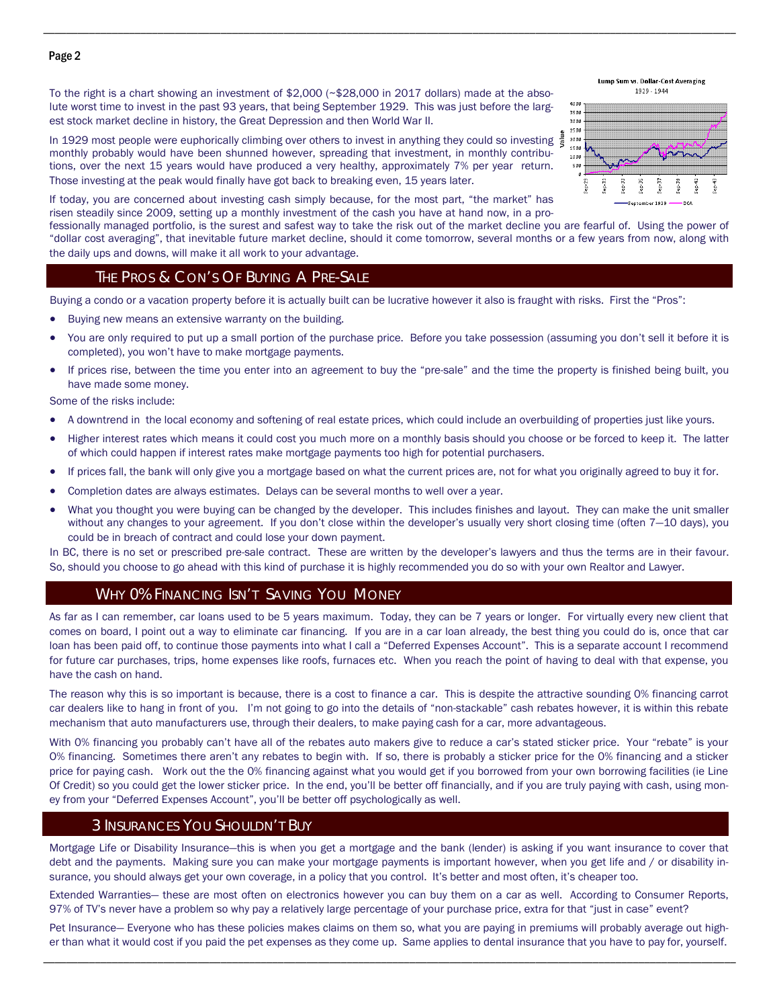#### Page 2

To the right is a chart showing an investment of \$2,000 (~\$28,000 in 2017 dollars) made at the absolute worst time to invest in the past 93 years, that being September 1929. This was just before the largest stock market decline in history, the Great Depression and then World War II.

In 1929 most people were euphorically climbing over others to invest in anything they could so investing  $\frac{3}{5}$ monthly probably would have been shunned however, spreading that investment, in monthly contributions, over the next 15 years would have produced a very healthy, approximately 7% per year return. Those investing at the peak would finally have got back to breaking even, 15 years later.



Lump Sum vs. Dollar-Cost Averaging

If today, you are concerned about investing cash simply because, for the most part, "the market" has risen steadily since 2009, setting up a monthly investment of the cash you have at hand now, in a pro-

fessionally managed portfolio, is the surest and safest way to take the risk out of the market decline you are fearful of. Using the power of "dollar cost averaging", that inevitable future market decline, should it come tomorrow, several months or a few years from now, along with the daily ups and downs, will make it all work to your advantage.

\_\_\_\_\_\_\_\_\_\_\_\_\_\_\_\_\_\_\_\_\_\_\_\_\_\_\_\_\_\_\_\_\_\_\_\_\_\_\_\_\_\_\_\_\_\_\_\_\_\_\_\_\_\_\_\_\_\_\_\_\_\_\_\_\_\_\_\_\_\_\_\_\_\_\_\_\_\_\_\_\_\_\_\_\_\_\_\_\_\_\_\_\_\_\_\_\_\_\_\_\_\_\_\_\_\_\_\_\_\_\_\_\_\_\_\_\_\_\_\_\_

#### THE PROS & CON'S OF BUYING A PRE-SALE

Buying a condo or a vacation property before it is actually built can be lucrative however it also is fraught with risks. First the "Pros":

- Buying new means an extensive warranty on the building.
- You are only required to put up a small portion of the purchase price. Before you take possession (assuming you don't sell it before it is completed), you won't have to make mortgage payments.
- If prices rise, between the time you enter into an agreement to buy the "pre-sale" and the time the property is finished being built, you have made some money.

Some of the risks include:

- A downtrend in the local economy and softening of real estate prices, which could include an overbuilding of properties just like yours.
- Higher interest rates which means it could cost you much more on a monthly basis should you choose or be forced to keep it. The latter of which could happen if interest rates make mortgage payments too high for potential purchasers.
- If prices fall, the bank will only give you a mortgage based on what the current prices are, not for what you originally agreed to buy it for.
- Completion dates are always estimates. Delays can be several months to well over a year.
- What you thought you were buying can be changed by the developer. This includes finishes and layout. They can make the unit smaller without any changes to your agreement. If you don't close within the developer's usually very short closing time (often 7—10 days), you could be in breach of contract and could lose your down payment.

In BC, there is no set or prescribed pre-sale contract. These are written by the developer's lawyers and thus the terms are in their favour. So, should you choose to go ahead with this kind of purchase it is highly recommended you do so with your own Realtor and Lawyer.

### WHY 0% FINANCING ISN'T SAVING YOU MONEY

As far as I can remember, car loans used to be 5 years maximum. Today, they can be 7 years or longer. For virtually every new client that comes on board, I point out a way to eliminate car financing. If you are in a car loan already, the best thing you could do is, once that car loan has been paid off, to continue those payments into what I call a "Deferred Expenses Account". This is a separate account I recommend for future car purchases, trips, home expenses like roofs, furnaces etc. When you reach the point of having to deal with that expense, you have the cash on hand.

The reason why this is so important is because, there is a cost to finance a car. This is despite the attractive sounding 0% financing carrot car dealers like to hang in front of you. I'm not going to go into the details of "non-stackable" cash rebates however, it is within this rebate mechanism that auto manufacturers use, through their dealers, to make paying cash for a car, more advantageous.

With 0% financing you probably can't have all of the rebates auto makers give to reduce a car's stated sticker price. Your "rebate" is your O% financing. Sometimes there aren't any rebates to begin with. If so, there is probably a sticker price for the 0% financing and a sticker price for paying cash. Work out the the 0% financing against what you would get if you borrowed from your own borrowing facilities (ie Line Of Credit) so you could get the lower sticker price. In the end, you'll be better off financially, and if you are truly paying with cash, using money from your "Deferred Expenses Account", you'll be better off psychologically as well.

# 3 INSURANCES YOU SHOULDN'T BUY

Mortgage Life or Disability Insurance—this is when you get a mortgage and the bank (lender) is asking if you want insurance to cover that debt and the payments. Making sure you can make your mortgage payments is important however, when you get life and / or disability insurance, you should always get your own coverage, in a policy that you control. It's better and most often, it's cheaper too.

Extended Warranties— these are most often on electronics however you can buy them on a car as well. According to Consumer Reports, 97% of TV's never have a problem so why pay a relatively large percentage of your purchase price, extra for that "just in case" event?

\_\_\_\_\_\_\_\_\_\_\_\_\_\_\_\_\_\_\_\_\_\_\_\_\_\_\_\_\_\_\_\_\_\_\_\_\_\_\_\_\_\_\_\_\_\_\_\_\_\_\_\_\_\_\_\_\_\_\_\_\_\_\_\_\_\_\_\_\_\_\_\_\_\_\_\_\_\_\_\_\_\_\_\_\_\_\_\_\_\_\_\_\_\_\_\_\_\_\_\_\_\_\_\_\_\_\_\_\_\_\_\_\_\_\_\_\_\_\_\_\_ Pet Insurance— Everyone who has these policies makes claims on them so, what you are paying in premiums will probably average out higher than what it would cost if you paid the pet expenses as they come up. Same applies to dental insurance that you have to pay for, yourself.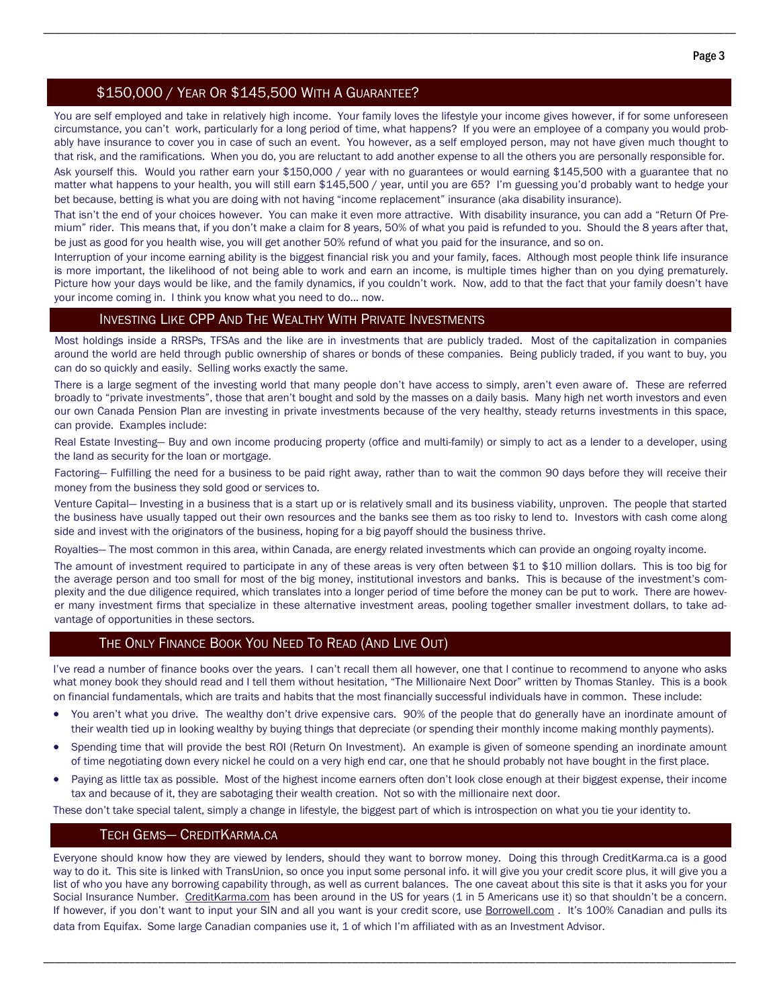# \$150,000 / YEAR OR \$145,500 WITH A GUARANTEE?

You are self employed and take in relatively high income. Your family loves the lifestyle your income gives however, if for some unforeseen circumstance, you can't work, particularly for a long period of time, what happens? If you were an employee of a company you would probably have insurance to cover you in case of such an event. You however, as a self employed person, may not have given much thought to that risk, and the ramifications. When you do, you are reluctant to add another expense to all the others you are personally responsible for.

\_\_\_\_\_\_\_\_\_\_\_\_\_\_\_\_\_\_\_\_\_\_\_\_\_\_\_\_\_\_\_\_\_\_\_\_\_\_\_\_\_\_\_\_\_\_\_\_\_\_\_\_\_\_\_\_\_\_\_\_\_\_\_\_\_\_\_\_\_\_\_\_\_\_\_\_\_\_\_\_\_\_\_\_\_\_\_\_\_\_\_\_\_\_\_\_\_\_\_\_\_\_\_\_\_\_\_\_\_\_\_\_\_\_\_\_\_\_\_\_\_

Ask yourself this. Would you rather earn your \$150,000 / year with no guarantees or would earning \$145,500 with a guarantee that no matter what happens to your health, you will still earn \$145,500 / year, until you are 65? I'm guessing you'd probably want to hedge your bet because, betting is what you are doing with not having "income replacement" insurance (aka disability insurance).

That isn't the end of your choices however. You can make it even more attractive. With disability insurance, you can add a "Return Of Premium" rider. This means that, if you don't make a claim for 8 years, 50% of what you paid is refunded to you. Should the 8 years after that, be just as good for you health wise, you will get another 50% refund of what you paid for the insurance, and so on.

Interruption of your income earning ability is the biggest financial risk you and your family, faces. Although most people think life insurance is more important, the likelihood of not being able to work and earn an income, is multiple times higher than on you dying prematurely. Picture how your days would be like, and the family dynamics, if you couldn't work. Now, add to that the fact that your family doesn't have your income coming in. I think you know what you need to do... now.

#### INVESTING LIKE CPP AND THE WEALTHY WITH PRIVATE INVESTMENTS

Most holdings inside a RRSPs, TFSAs and the like are in investments that are publicly traded. Most of the capitalization in companies around the world are held through public ownership of shares or bonds of these companies. Being publicly traded, if you want to buy, you can do so quickly and easily. Selling works exactly the same.

There is a large segment of the investing world that many people don't have access to simply, aren't even aware of. These are referred broadly to "private investments", those that aren't bought and sold by the masses on a daily basis. Many high net worth investors and even our own Canada Pension Plan are investing in private investments because of the very healthy, steady returns investments in this space, can provide. Examples include:

Real Estate Investing— Buy and own income producing property (office and multi-family) or simply to act as a lender to a developer, using the land as security for the loan or mortgage.

Factoring— Fulfilling the need for a business to be paid right away, rather than to wait the common 90 days before they will receive their money from the business they sold good or services to.

Venture Capital— Investing in a business that is a start up or is relatively small and its business viability, unproven. The people that started the business have usually tapped out their own resources and the banks see them as too risky to lend to. Investors with cash come along side and invest with the originators of the business, hoping for a big payoff should the business thrive.

Royalties— The most common in this area, within Canada, are energy related investments which can provide an ongoing royalty income.

The amount of investment required to participate in any of these areas is very often between \$1 to \$10 million dollars. This is too big for the average person and too small for most of the big money, institutional investors and banks. This is because of the investment's complexity and the due diligence required, which translates into a longer period of time before the money can be put to work. There are however many investment firms that specialize in these alternative investment areas, pooling together smaller investment dollars, to take advantage of opportunities in these sectors.

# THE ONLY FINANCE BOOK YOU NEED TO READ (AND LIVE OUT)

I've read a number of finance books over the years. I can't recall them all however, one that I continue to recommend to anyone who asks what money book they should read and I tell them without hesitation, "The Millionaire Next Door" written by Thomas Stanley. This is a book on financial fundamentals, which are traits and habits that the most financially successful individuals have in common. These include:

- You aren't what you drive. The wealthy don't drive expensive cars. 90% of the people that do generally have an inordinate amount of their wealth tied up in looking wealthy by buying things that depreciate (or spending their monthly income making monthly payments).
- Spending time that will provide the best ROI (Return On Investment). An example is given of someone spending an inordinate amount of time negotiating down every nickel he could on a very high end car, one that he should probably not have bought in the first place.
- Paying as little tax as possible. Most of the highest income earners often don't look close enough at their biggest expense, their income tax and because of it, they are sabotaging their wealth creation. Not so with the millionaire next door.

These don't take special talent, simply a change in lifestyle, the biggest part of which is introspection on what you tie your identity to.

# TECH GEMS— CREDITKARMA.CA

Everyone should know how they are viewed by lenders, should they want to borrow money. Doing this through CreditKarma.ca is a good way to do it. This site is linked with TransUnion, so once you input some personal info. it will give you your credit score plus, it will give you a list of who you have any borrowing capability through, as well as current balances. The one caveat about this site is that it asks you for your Social Insurance Number. CreditKarma.com has been around in the US for years (1 in 5 Americans use it) so that shouldn't be a concern. If however, if you don't want to input your SIN and all you want is your credit score, use **Borrowell.com** . It's 100% Canadian and pulls its data from Equifax. Some large Canadian companies use it, 1 of which I'm affiliated with as an Investment Advisor.

\_\_\_\_\_\_\_\_\_\_\_\_\_\_\_\_\_\_\_\_\_\_\_\_\_\_\_\_\_\_\_\_\_\_\_\_\_\_\_\_\_\_\_\_\_\_\_\_\_\_\_\_\_\_\_\_\_\_\_\_\_\_\_\_\_\_\_\_\_\_\_\_\_\_\_\_\_\_\_\_\_\_\_\_\_\_\_\_\_\_\_\_\_\_\_\_\_\_\_\_\_\_\_\_\_\_\_\_\_\_\_\_\_\_\_\_\_\_\_\_\_